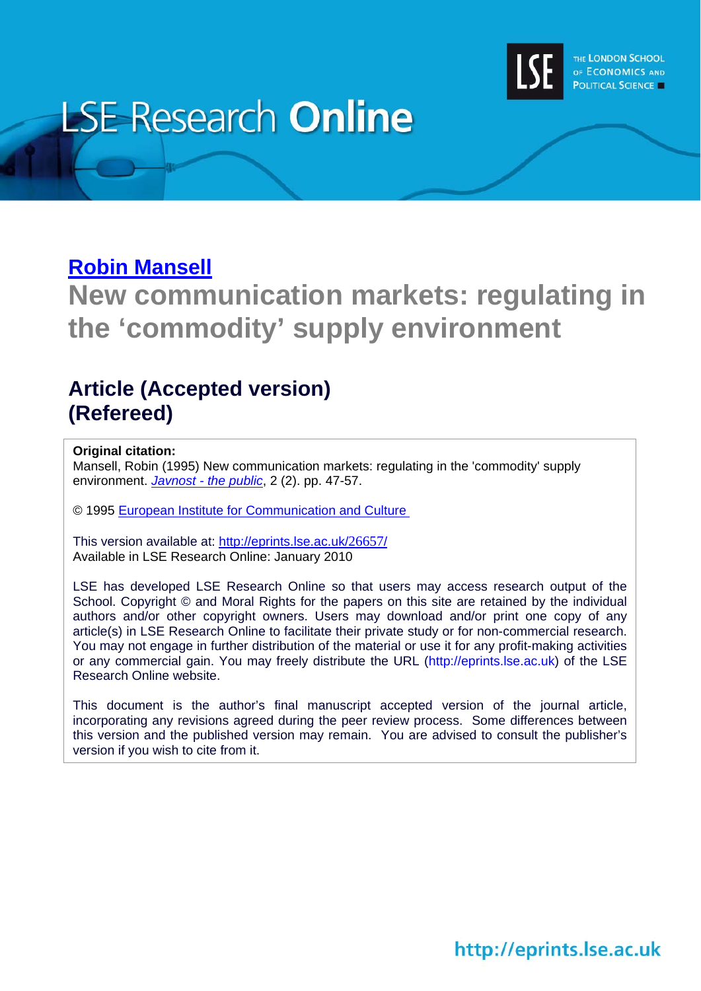

# **LSE Research Online**

## **[Robin Mansell](http://www2.lse.ac.uk/researchAndExpertise/Experts/profile.aspx?KeyValue=r.e.mansell@lse.ac.uk)**

# **New communication markets: regulating in the 'commodity' supply environment**

### **Article (Accepted version) (Refereed)**

#### **Original citation:**

Mansell, Robin (1995) New communication markets: regulating in the 'commodity' supply environment. *[Javnost - the public](http://www.javnost-thepublic.org/)*, 2 (2). pp. 47-57.

© 1995 [European Institute for Communication and Culture](http://www.euricom.si/) 

This version available at: [http://eprints.lse.ac.uk/](http://eprints.lse.ac.uk/26657/)26657/ Available in LSE Research Online: January 2010

LSE has developed LSE Research Online so that users may access research output of the School. Copyright © and Moral Rights for the papers on this site are retained by the individual authors and/or other copyright owners. Users may download and/or print one copy of any article(s) in LSE Research Online to facilitate their private study or for non-commercial research. You may not engage in further distribution of the material or use it for any profit-making activities or any commercial gain. You may freely distribute the URL (http://eprints.lse.ac.uk) of the LSE Research Online website.

This document is the author's final manuscript accepted version of the journal article, incorporating any revisions agreed during the peer review process. Some differences between this version and the published version may remain. You are advised to consult the publisher's version if you wish to cite from it.

# http://eprints.lse.ac.uk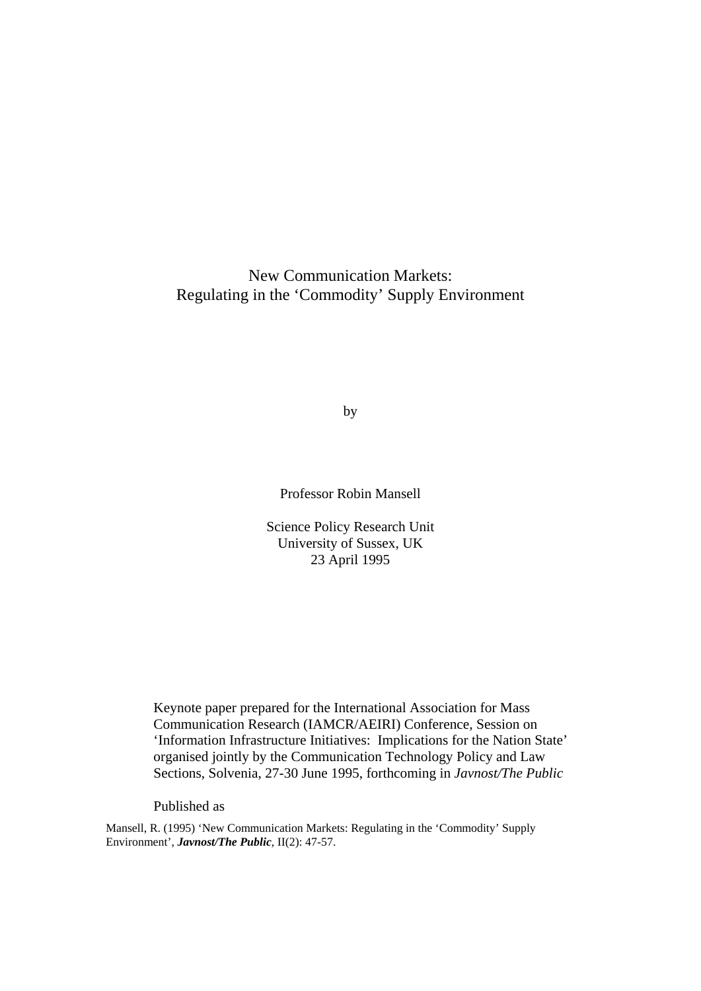New Communication Markets: Regulating in the 'Commodity' Supply Environment

by

Professor Robin Mansell

Science Policy Research Unit University of Sussex, UK 23 April 1995

Keynote paper prepared for the International Association for Mass Communication Research (IAMCR/AEIRI) Conference, Session on 'Information Infrastructure Initiatives: Implications for the Nation State' organised jointly by the Communication Technology Policy and Law Sections, Solvenia, 27-30 June 1995, forthcoming in *Javnost/The Public*

Published as

Mansell, R. (1995) 'New Communication Markets: Regulating in the 'Commodity' Supply Environment', *Javnost/The Public*, II(2): 47-57.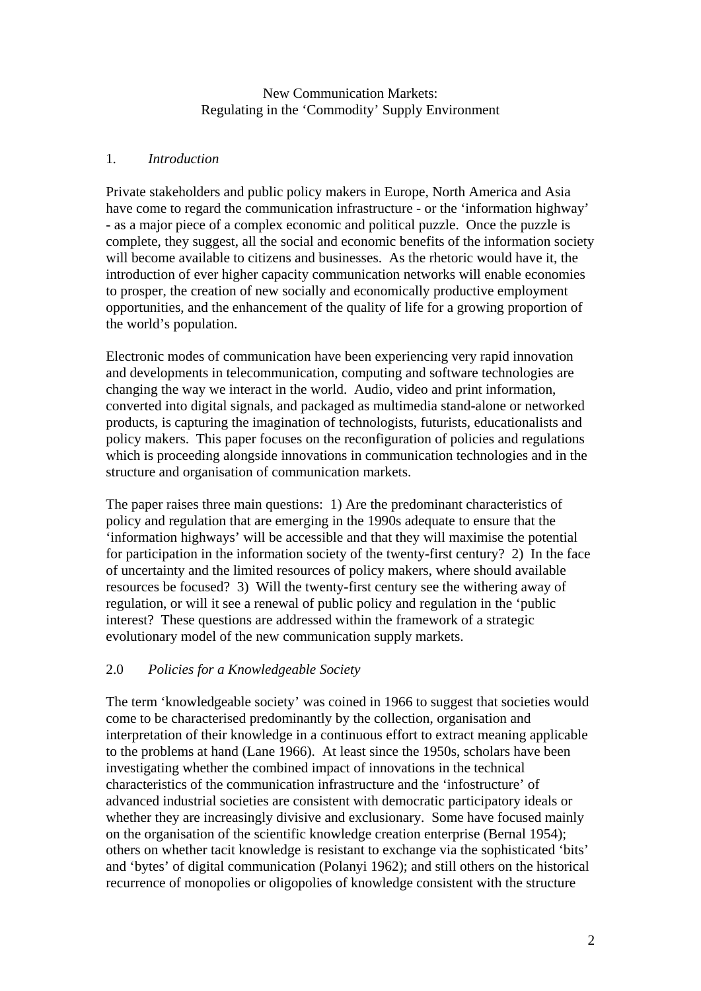#### New Communication Markets: Regulating in the 'Commodity' Supply Environment

#### 1*. Introduction*

Private stakeholders and public policy makers in Europe, North America and Asia have come to regard the communication infrastructure - or the 'information highway' - as a major piece of a complex economic and political puzzle. Once the puzzle is complete, they suggest, all the social and economic benefits of the information society will become available to citizens and businesses. As the rhetoric would have it, the introduction of ever higher capacity communication networks will enable economies to prosper, the creation of new socially and economically productive employment opportunities, and the enhancement of the quality of life for a growing proportion of the world's population.

Electronic modes of communication have been experiencing very rapid innovation and developments in telecommunication, computing and software technologies are changing the way we interact in the world. Audio, video and print information, converted into digital signals, and packaged as multimedia stand-alone or networked products, is capturing the imagination of technologists, futurists, educationalists and policy makers. This paper focuses on the reconfiguration of policies and regulations which is proceeding alongside innovations in communication technologies and in the structure and organisation of communication markets.

The paper raises three main questions: 1) Are the predominant characteristics of policy and regulation that are emerging in the 1990s adequate to ensure that the 'information highways' will be accessible and that they will maximise the potential for participation in the information society of the twenty-first century? 2) In the face of uncertainty and the limited resources of policy makers, where should available resources be focused? 3) Will the twenty-first century see the withering away of regulation, or will it see a renewal of public policy and regulation in the 'public interest? These questions are addressed within the framework of a strategic evolutionary model of the new communication supply markets.

#### 2.0 *Policies for a Knowledgeable Society*

The term 'knowledgeable society' was coined in 1966 to suggest that societies would come to be characterised predominantly by the collection, organisation and interpretation of their knowledge in a continuous effort to extract meaning applicable to the problems at hand (Lane 1966). At least since the 1950s, scholars have been investigating whether the combined impact of innovations in the technical characteristics of the communication infrastructure and the 'infostructure' of advanced industrial societies are consistent with democratic participatory ideals or whether they are increasingly divisive and exclusionary. Some have focused mainly on the organisation of the scientific knowledge creation enterprise (Bernal 1954); others on whether tacit knowledge is resistant to exchange via the sophisticated 'bits' and 'bytes' of digital communication (Polanyi 1962); and still others on the historical recurrence of monopolies or oligopolies of knowledge consistent with the structure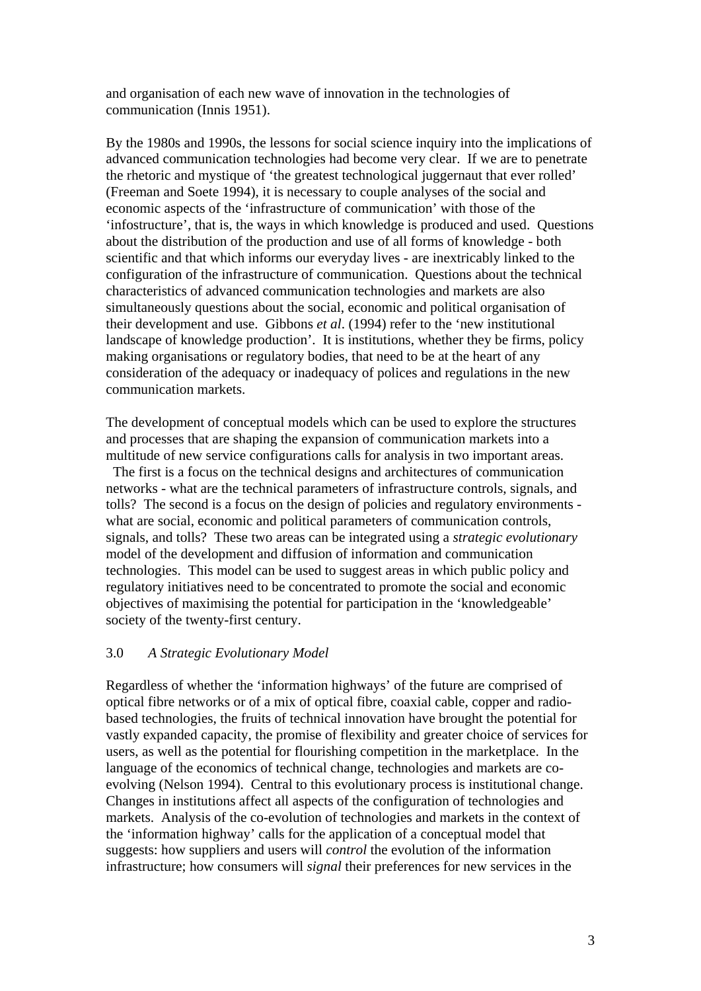and organisation of each new wave of innovation in the technologies of communication (Innis 1951).

By the 1980s and 1990s, the lessons for social science inquiry into the implications of advanced communication technologies had become very clear. If we are to penetrate the rhetoric and mystique of 'the greatest technological juggernaut that ever rolled' (Freeman and Soete 1994), it is necessary to couple analyses of the social and economic aspects of the 'infrastructure of communication' with those of the 'infostructure', that is, the ways in which knowledge is produced and used. Questions about the distribution of the production and use of all forms of knowledge - both scientific and that which informs our everyday lives - are inextricably linked to the configuration of the infrastructure of communication. Questions about the technical characteristics of advanced communication technologies and markets are also simultaneously questions about the social, economic and political organisation of their development and use. Gibbons *et al*. (1994) refer to the 'new institutional landscape of knowledge production'. It is institutions, whether they be firms, policy making organisations or regulatory bodies, that need to be at the heart of any consideration of the adequacy or inadequacy of polices and regulations in the new communication markets.

The development of conceptual models which can be used to explore the structures and processes that are shaping the expansion of communication markets into a multitude of new service configurations calls for analysis in two important areas.

 The first is a focus on the technical designs and architectures of communication networks - what are the technical parameters of infrastructure controls, signals, and tolls? The second is a focus on the design of policies and regulatory environments what are social, economic and political parameters of communication controls, signals, and tolls? These two areas can be integrated using a *strategic evolutionary*  model of the development and diffusion of information and communication technologies. This model can be used to suggest areas in which public policy and regulatory initiatives need to be concentrated to promote the social and economic objectives of maximising the potential for participation in the 'knowledgeable' society of the twenty-first century.

#### 3.0 *A Strategic Evolutionary Model*

Regardless of whether the 'information highways' of the future are comprised of optical fibre networks or of a mix of optical fibre, coaxial cable, copper and radiobased technologies, the fruits of technical innovation have brought the potential for vastly expanded capacity, the promise of flexibility and greater choice of services for users, as well as the potential for flourishing competition in the marketplace. In the language of the economics of technical change, technologies and markets are coevolving (Nelson 1994). Central to this evolutionary process is institutional change. Changes in institutions affect all aspects of the configuration of technologies and markets. Analysis of the co-evolution of technologies and markets in the context of the 'information highway' calls for the application of a conceptual model that suggests: how suppliers and users will *control* the evolution of the information infrastructure; how consumers will *signal* their preferences for new services in the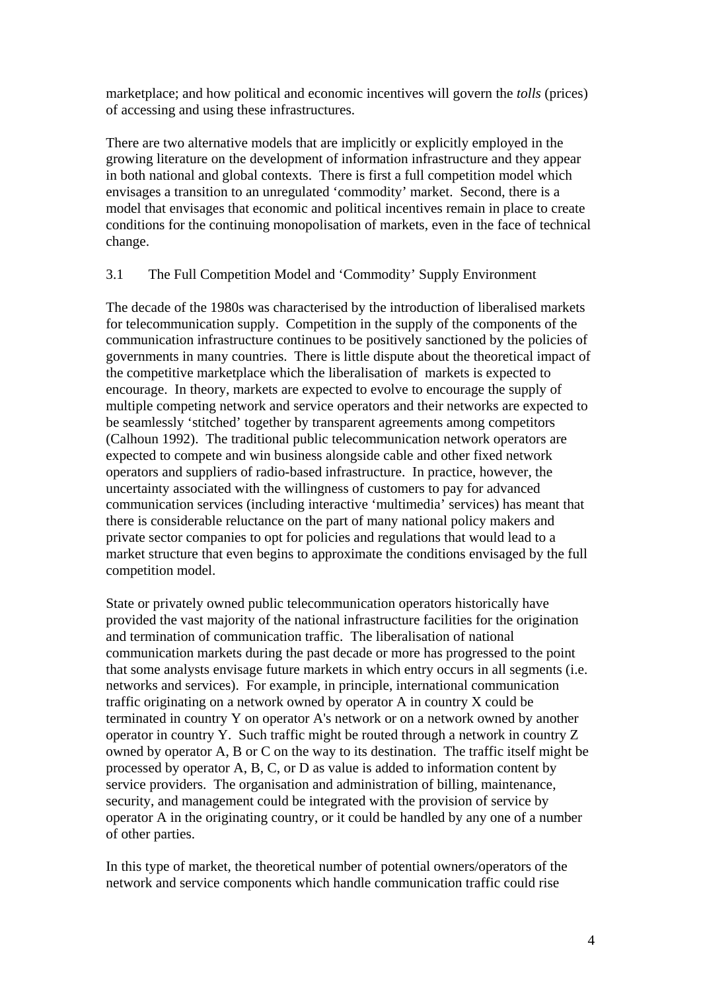marketplace; and how political and economic incentives will govern the *tolls* (prices) of accessing and using these infrastructures.

There are two alternative models that are implicitly or explicitly employed in the growing literature on the development of information infrastructure and they appear in both national and global contexts. There is first a full competition model which envisages a transition to an unregulated 'commodity' market. Second, there is a model that envisages that economic and political incentives remain in place to create conditions for the continuing monopolisation of markets, even in the face of technical change.

#### 3.1 The Full Competition Model and 'Commodity' Supply Environment

The decade of the 1980s was characterised by the introduction of liberalised markets for telecommunication supply. Competition in the supply of the components of the communication infrastructure continues to be positively sanctioned by the policies of governments in many countries. There is little dispute about the theoretical impact of the competitive marketplace which the liberalisation of markets is expected to encourage. In theory, markets are expected to evolve to encourage the supply of multiple competing network and service operators and their networks are expected to be seamlessly 'stitched' together by transparent agreements among competitors (Calhoun 1992). The traditional public telecommunication network operators are expected to compete and win business alongside cable and other fixed network operators and suppliers of radio-based infrastructure. In practice, however, the uncertainty associated with the willingness of customers to pay for advanced communication services (including interactive 'multimedia' services) has meant that there is considerable reluctance on the part of many national policy makers and private sector companies to opt for policies and regulations that would lead to a market structure that even begins to approximate the conditions envisaged by the full competition model.

State or privately owned public telecommunication operators historically have provided the vast majority of the national infrastructure facilities for the origination and termination of communication traffic. The liberalisation of national communication markets during the past decade or more has progressed to the point that some analysts envisage future markets in which entry occurs in all segments (i.e. networks and services). For example, in principle, international communication traffic originating on a network owned by operator A in country X could be terminated in country Y on operator A's network or on a network owned by another operator in country Y. Such traffic might be routed through a network in country Z owned by operator A, B or C on the way to its destination. The traffic itself might be processed by operator A, B, C, or D as value is added to information content by service providers. The organisation and administration of billing, maintenance, security, and management could be integrated with the provision of service by operator A in the originating country, or it could be handled by any one of a number of other parties.

In this type of market, the theoretical number of potential owners/operators of the network and service components which handle communication traffic could rise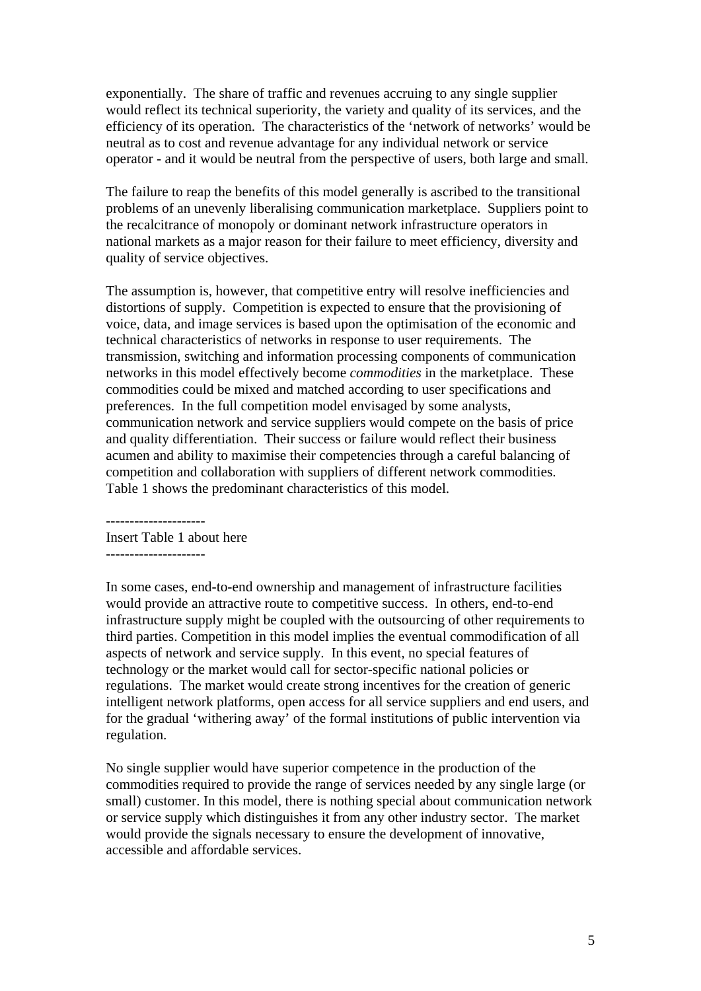exponentially. The share of traffic and revenues accruing to any single supplier would reflect its technical superiority, the variety and quality of its services, and the efficiency of its operation. The characteristics of the 'network of networks' would be neutral as to cost and revenue advantage for any individual network or service operator - and it would be neutral from the perspective of users, both large and small.

The failure to reap the benefits of this model generally is ascribed to the transitional problems of an unevenly liberalising communication marketplace. Suppliers point to the recalcitrance of monopoly or dominant network infrastructure operators in national markets as a major reason for their failure to meet efficiency, diversity and quality of service objectives.

The assumption is, however, that competitive entry will resolve inefficiencies and distortions of supply. Competition is expected to ensure that the provisioning of voice, data, and image services is based upon the optimisation of the economic and technical characteristics of networks in response to user requirements. The transmission, switching and information processing components of communication networks in this model effectively become *commodities* in the marketplace. These commodities could be mixed and matched according to user specifications and preferences. In the full competition model envisaged by some analysts, communication network and service suppliers would compete on the basis of price and quality differentiation. Their success or failure would reflect their business acumen and ability to maximise their competencies through a careful balancing of competition and collaboration with suppliers of different network commodities. Table 1 shows the predominant characteristics of this model.

--------------------- Insert Table 1 about here

In some cases, end-to-end ownership and management of infrastructure facilities would provide an attractive route to competitive success. In others, end-to-end infrastructure supply might be coupled with the outsourcing of other requirements to third parties. Competition in this model implies the eventual commodification of all aspects of network and service supply. In this event, no special features of technology or the market would call for sector-specific national policies or regulations. The market would create strong incentives for the creation of generic intelligent network platforms, open access for all service suppliers and end users, and for the gradual 'withering away' of the formal institutions of public intervention via regulation.

No single supplier would have superior competence in the production of the commodities required to provide the range of services needed by any single large (or small) customer. In this model, there is nothing special about communication network or service supply which distinguishes it from any other industry sector. The market would provide the signals necessary to ensure the development of innovative, accessible and affordable services.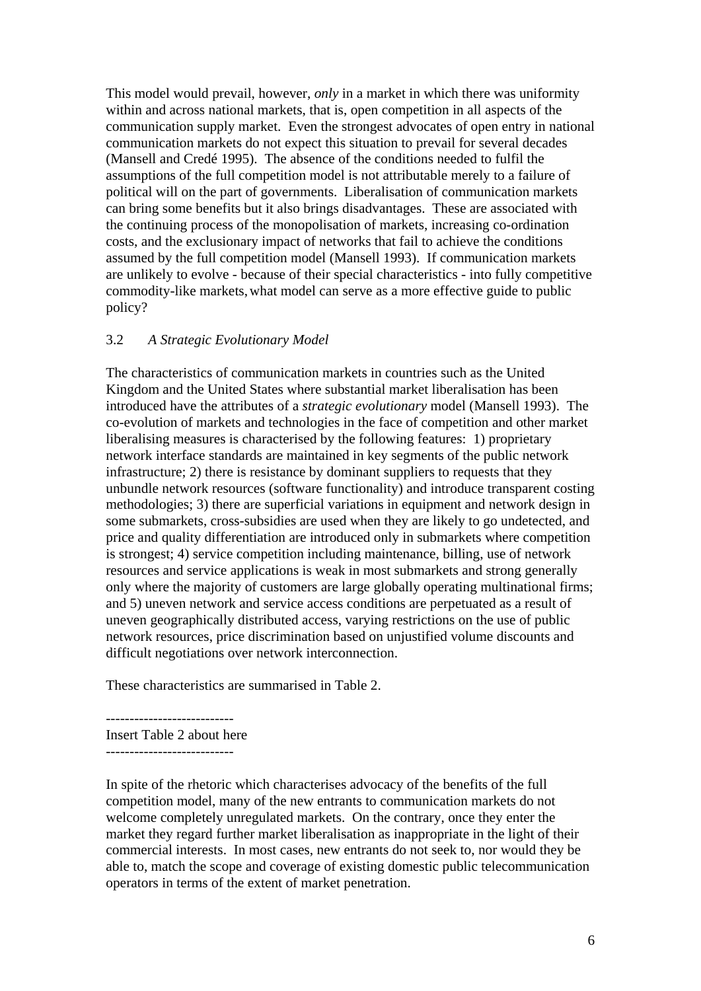This model would prevail, however, *only* in a market in which there was uniformity within and across national markets, that is, open competition in all aspects of the communication supply market. Even the strongest advocates of open entry in national communication markets do not expect this situation to prevail for several decades (Mansell and Credé 1995). The absence of the conditions needed to fulfil the assumptions of the full competition model is not attributable merely to a failure of political will on the part of governments. Liberalisation of communication markets can bring some benefits but it also brings disadvantages. These are associated with the continuing process of the monopolisation of markets, increasing co-ordination costs, and the exclusionary impact of networks that fail to achieve the conditions assumed by the full competition model (Mansell 1993). If communication markets are unlikely to evolve - because of their special characteristics - into fully competitive commodity-like markets,what model can serve as a more effective guide to public policy?

#### 3.2 *A Strategic Evolutionary Model*

The characteristics of communication markets in countries such as the United Kingdom and the United States where substantial market liberalisation has been introduced have the attributes of a *strategic evolutionary* model (Mansell 1993). The co-evolution of markets and technologies in the face of competition and other market liberalising measures is characterised by the following features: 1) proprietary network interface standards are maintained in key segments of the public network infrastructure; 2) there is resistance by dominant suppliers to requests that they unbundle network resources (software functionality) and introduce transparent costing methodologies; 3) there are superficial variations in equipment and network design in some submarkets, cross-subsidies are used when they are likely to go undetected, and price and quality differentiation are introduced only in submarkets where competition is strongest; 4) service competition including maintenance, billing, use of network resources and service applications is weak in most submarkets and strong generally only where the majority of customers are large globally operating multinational firms; and 5) uneven network and service access conditions are perpetuated as a result of uneven geographically distributed access, varying restrictions on the use of public network resources, price discrimination based on unjustified volume discounts and difficult negotiations over network interconnection.

These characteristics are summarised in Table 2.

Insert Table 2 about here

In spite of the rhetoric which characterises advocacy of the benefits of the full competition model, many of the new entrants to communication markets do not welcome completely unregulated markets. On the contrary, once they enter the market they regard further market liberalisation as inappropriate in the light of their commercial interests. In most cases, new entrants do not seek to, nor would they be able to, match the scope and coverage of existing domestic public telecommunication operators in terms of the extent of market penetration.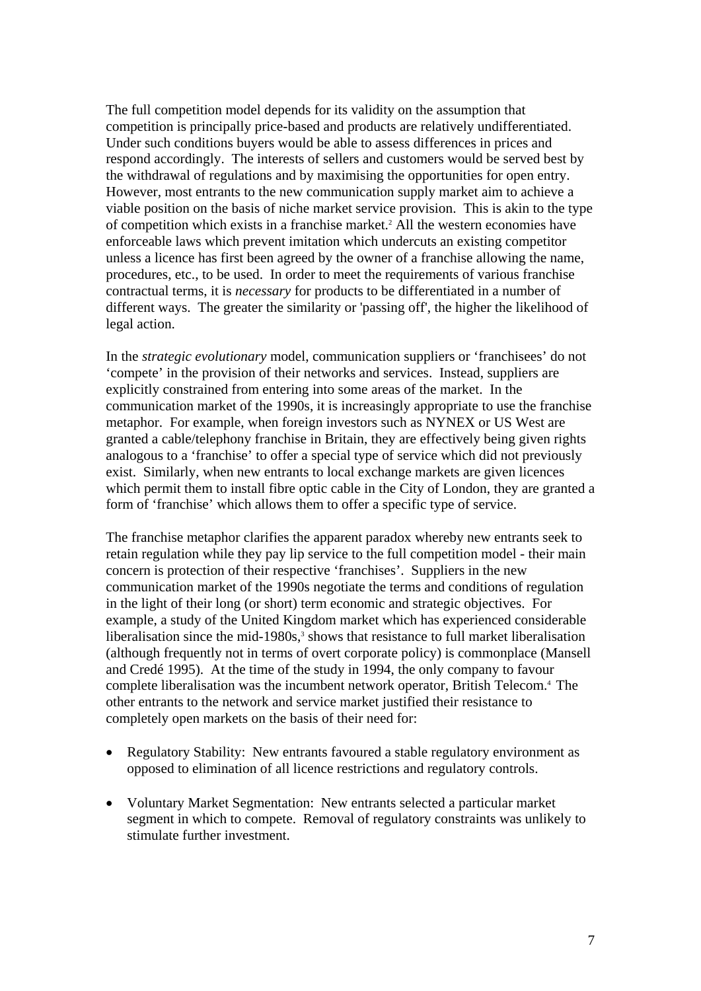The full competition model depends for its validity on the assumption that competition is principally price-based and products are relatively undifferentiated. Under such conditions buyers would be able to assess differences in prices and respond accordingly. The interests of sellers and customers would be served best by the withdrawal of regulations and by maximising the opportunities for open entry. However, most entrants to the new communication supply market aim to achieve a viable position on the basis of niche market service provision. This is akin to the type of competition which exists in a franchise market.2 All the western economies have enforceable laws which prevent imitation which undercuts an existing competitor unless a licence has first been agreed by the owner of a franchise allowing the name, procedures, etc., to be used. In order to meet the requirements of various franchise contractual terms, it is *necessary* for products to be differentiated in a number of different ways. The greater the similarity or 'passing off', the higher the likelihood of legal action.

In the *strategic evolutionary* model, communication suppliers or 'franchisees' do not 'compete' in the provision of their networks and services. Instead, suppliers are explicitly constrained from entering into some areas of the market. In the communication market of the 1990s, it is increasingly appropriate to use the franchise metaphor. For example, when foreign investors such as NYNEX or US West are granted a cable/telephony franchise in Britain, they are effectively being given rights analogous to a 'franchise' to offer a special type of service which did not previously exist. Similarly, when new entrants to local exchange markets are given licences which permit them to install fibre optic cable in the City of London, they are granted a form of 'franchise' which allows them to offer a specific type of service.

The franchise metaphor clarifies the apparent paradox whereby new entrants seek to retain regulation while they pay lip service to the full competition model - their main concern is protection of their respective 'franchises'. Suppliers in the new communication market of the 1990s negotiate the terms and conditions of regulation in the light of their long (or short) term economic and strategic objectives. For example, a study of the United Kingdom market which has experienced considerable liberalisation since the mid-1980s, $3$  shows that resistance to full market liberalisation (although frequently not in terms of overt corporate policy) is commonplace (Mansell and Credé 1995). At the time of the study in 1994, the only company to favour complete liberalisation was the incumbent network operator, British Telecom.4 The other entrants to the network and service market justified their resistance to completely open markets on the basis of their need for:

- Regulatory Stability: New entrants favoured a stable regulatory environment as opposed to elimination of all licence restrictions and regulatory controls.
- Voluntary Market Segmentation: New entrants selected a particular market segment in which to compete. Removal of regulatory constraints was unlikely to stimulate further investment.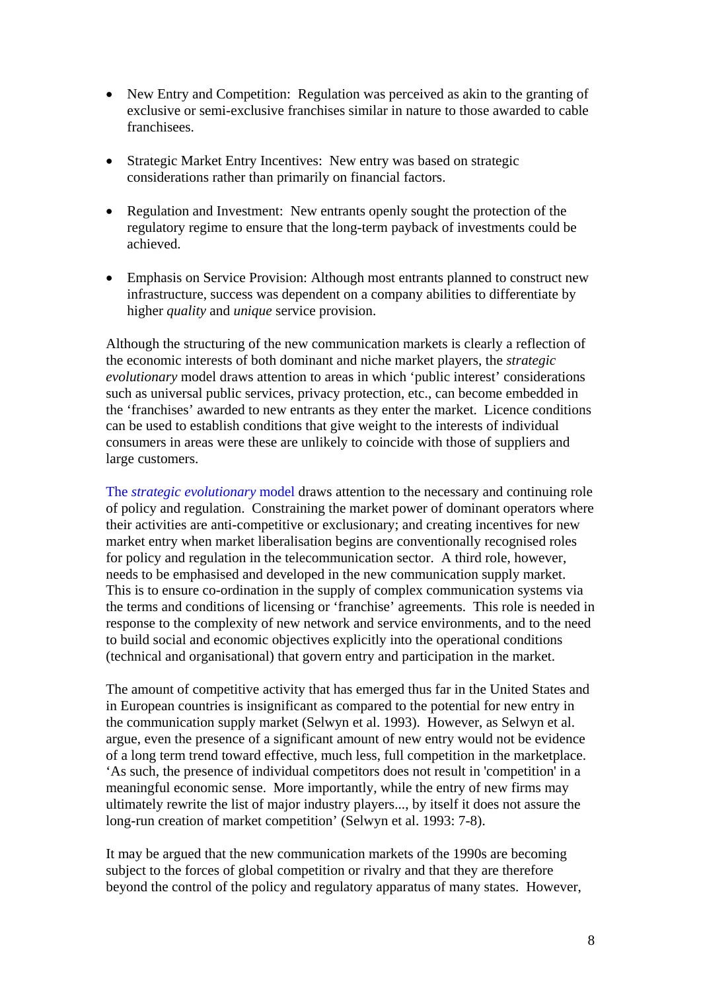- New Entry and Competition: Regulation was perceived as akin to the granting of exclusive or semi-exclusive franchises similar in nature to those awarded to cable franchisees.
- Strategic Market Entry Incentives: New entry was based on strategic considerations rather than primarily on financial factors.
- Regulation and Investment: New entrants openly sought the protection of the regulatory regime to ensure that the long-term payback of investments could be achieved.
- Emphasis on Service Provision: Although most entrants planned to construct new infrastructure, success was dependent on a company abilities to differentiate by higher *quality* and *unique* service provision.

Although the structuring of the new communication markets is clearly a reflection of the economic interests of both dominant and niche market players, the *strategic evolutionary* model draws attention to areas in which 'public interest' considerations such as universal public services, privacy protection, etc., can become embedded in the 'franchises' awarded to new entrants as they enter the market. Licence conditions can be used to establish conditions that give weight to the interests of individual consumers in areas were these are unlikely to coincide with those of suppliers and large customers.

The *strategic evolutionary* model draws attention to the necessary and continuing role of policy and regulation. Constraining the market power of dominant operators where their activities are anti-competitive or exclusionary; and creating incentives for new market entry when market liberalisation begins are conventionally recognised roles for policy and regulation in the telecommunication sector. A third role, however, needs to be emphasised and developed in the new communication supply market. This is to ensure co-ordination in the supply of complex communication systems via the terms and conditions of licensing or 'franchise' agreements. This role is needed in response to the complexity of new network and service environments, and to the need to build social and economic objectives explicitly into the operational conditions (technical and organisational) that govern entry and participation in the market.

The amount of competitive activity that has emerged thus far in the United States and in European countries is insignificant as compared to the potential for new entry in the communication supply market (Selwyn et al. 1993). However, as Selwyn et al. argue, even the presence of a significant amount of new entry would not be evidence of a long term trend toward effective, much less, full competition in the marketplace. 'As such, the presence of individual competitors does not result in 'competition' in a meaningful economic sense. More importantly, while the entry of new firms may ultimately rewrite the list of major industry players..., by itself it does not assure the long-run creation of market competition' (Selwyn et al. 1993: 7-8).

It may be argued that the new communication markets of the 1990s are becoming subject to the forces of global competition or rivalry and that they are therefore beyond the control of the policy and regulatory apparatus of many states. However,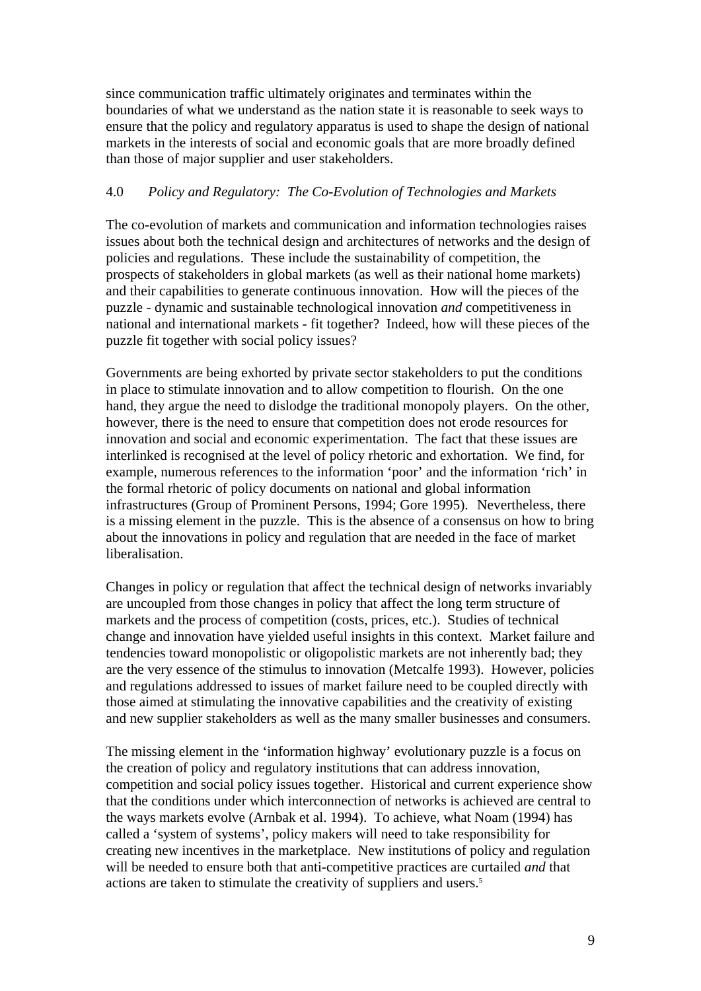since communication traffic ultimately originates and terminates within the boundaries of what we understand as the nation state it is reasonable to seek ways to ensure that the policy and regulatory apparatus is used to shape the design of national markets in the interests of social and economic goals that are more broadly defined than those of major supplier and user stakeholders.

#### 4.0 *Policy and Regulatory: The Co-Evolution of Technologies and Markets*

The co-evolution of markets and communication and information technologies raises issues about both the technical design and architectures of networks and the design of policies and regulations. These include the sustainability of competition, the prospects of stakeholders in global markets (as well as their national home markets) and their capabilities to generate continuous innovation. How will the pieces of the puzzle - dynamic and sustainable technological innovation *and* competitiveness in national and international markets - fit together? Indeed, how will these pieces of the puzzle fit together with social policy issues?

Governments are being exhorted by private sector stakeholders to put the conditions in place to stimulate innovation and to allow competition to flourish. On the one hand, they argue the need to dislodge the traditional monopoly players. On the other, however, there is the need to ensure that competition does not erode resources for innovation and social and economic experimentation. The fact that these issues are interlinked is recognised at the level of policy rhetoric and exhortation. We find, for example, numerous references to the information 'poor' and the information 'rich' in the formal rhetoric of policy documents on national and global information infrastructures (Group of Prominent Persons, 1994; Gore 1995). Nevertheless, there is a missing element in the puzzle. This is the absence of a consensus on how to bring about the innovations in policy and regulation that are needed in the face of market liberalisation.

Changes in policy or regulation that affect the technical design of networks invariably are uncoupled from those changes in policy that affect the long term structure of markets and the process of competition (costs, prices, etc.). Studies of technical change and innovation have yielded useful insights in this context. Market failure and tendencies toward monopolistic or oligopolistic markets are not inherently bad; they are the very essence of the stimulus to innovation (Metcalfe 1993). However, policies and regulations addressed to issues of market failure need to be coupled directly with those aimed at stimulating the innovative capabilities and the creativity of existing and new supplier stakeholders as well as the many smaller businesses and consumers.

The missing element in the 'information highway' evolutionary puzzle is a focus on the creation of policy and regulatory institutions that can address innovation, competition and social policy issues together. Historical and current experience show that the conditions under which interconnection of networks is achieved are central to the ways markets evolve (Arnbak et al. 1994). To achieve, what Noam (1994) has called a 'system of systems', policy makers will need to take responsibility for creating new incentives in the marketplace. New institutions of policy and regulation will be needed to ensure both that anti-competitive practices are curtailed *and* that actions are taken to stimulate the creativity of suppliers and users.<sup>5</sup>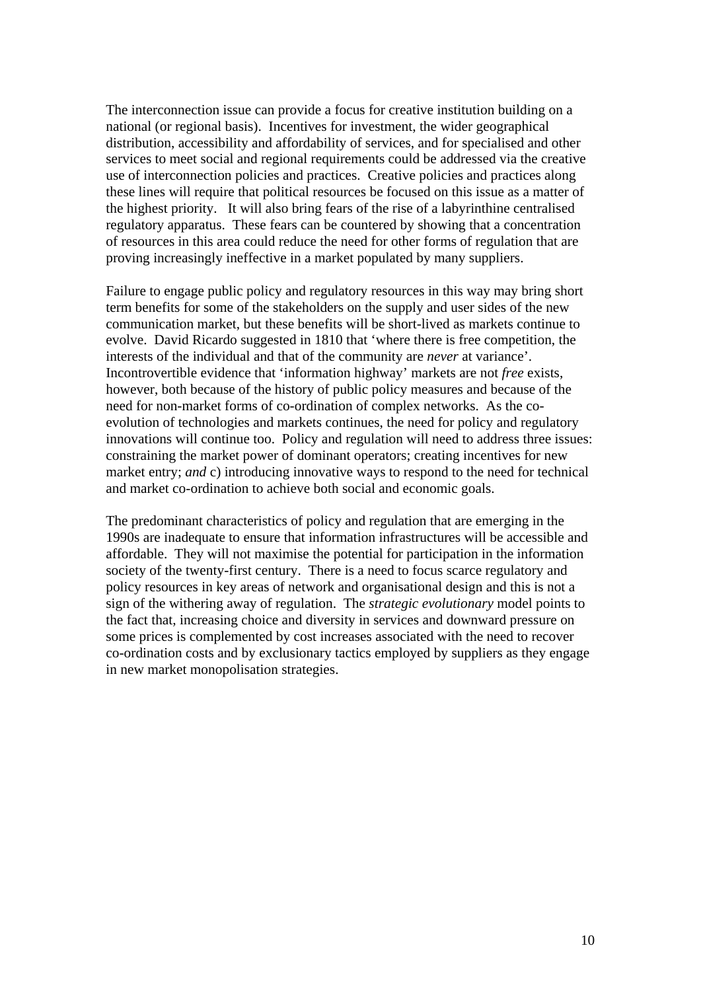The interconnection issue can provide a focus for creative institution building on a national (or regional basis). Incentives for investment, the wider geographical distribution, accessibility and affordability of services, and for specialised and other services to meet social and regional requirements could be addressed via the creative use of interconnection policies and practices. Creative policies and practices along these lines will require that political resources be focused on this issue as a matter of the highest priority. It will also bring fears of the rise of a labyrinthine centralised regulatory apparatus. These fears can be countered by showing that a concentration of resources in this area could reduce the need for other forms of regulation that are proving increasingly ineffective in a market populated by many suppliers.

Failure to engage public policy and regulatory resources in this way may bring short term benefits for some of the stakeholders on the supply and user sides of the new communication market, but these benefits will be short-lived as markets continue to evolve. David Ricardo suggested in 1810 that 'where there is free competition, the interests of the individual and that of the community are *never* at variance'. Incontrovertible evidence that 'information highway' markets are not *free* exists, however, both because of the history of public policy measures and because of the need for non-market forms of co-ordination of complex networks. As the coevolution of technologies and markets continues, the need for policy and regulatory innovations will continue too. Policy and regulation will need to address three issues: constraining the market power of dominant operators; creating incentives for new market entry; *and* c) introducing innovative ways to respond to the need for technical and market co-ordination to achieve both social and economic goals.

The predominant characteristics of policy and regulation that are emerging in the 1990s are inadequate to ensure that information infrastructures will be accessible and affordable. They will not maximise the potential for participation in the information society of the twenty-first century. There is a need to focus scarce regulatory and policy resources in key areas of network and organisational design and this is not a sign of the withering away of regulation. The *strategic evolutionary* model points to the fact that, increasing choice and diversity in services and downward pressure on some prices is complemented by cost increases associated with the need to recover co-ordination costs and by exclusionary tactics employed by suppliers as they engage in new market monopolisation strategies.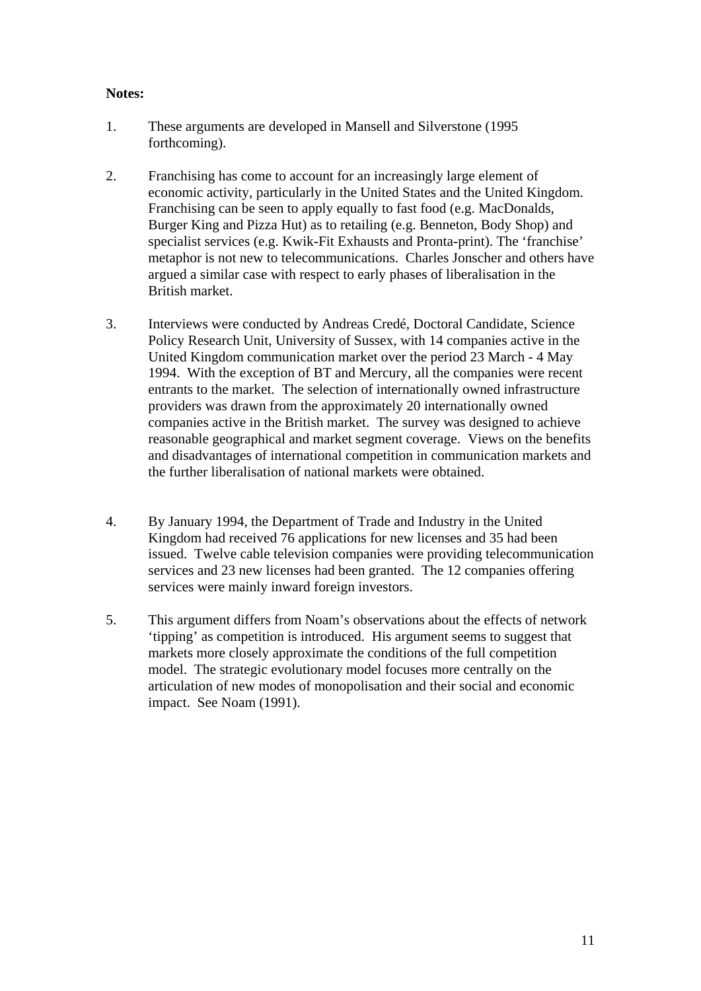#### **Notes:**

- 1. These arguments are developed in Mansell and Silverstone (1995 forthcoming).
- 2. Franchising has come to account for an increasingly large element of economic activity, particularly in the United States and the United Kingdom. Franchising can be seen to apply equally to fast food (e.g. MacDonalds, Burger King and Pizza Hut) as to retailing (e.g. Benneton, Body Shop) and specialist services (e.g. Kwik-Fit Exhausts and Pronta-print). The 'franchise' metaphor is not new to telecommunications. Charles Jonscher and others have argued a similar case with respect to early phases of liberalisation in the British market.
- 3. Interviews were conducted by Andreas Credé, Doctoral Candidate, Science Policy Research Unit, University of Sussex, with 14 companies active in the United Kingdom communication market over the period 23 March - 4 May 1994. With the exception of BT and Mercury, all the companies were recent entrants to the market. The selection of internationally owned infrastructure providers was drawn from the approximately 20 internationally owned companies active in the British market. The survey was designed to achieve reasonable geographical and market segment coverage. Views on the benefits and disadvantages of international competition in communication markets and the further liberalisation of national markets were obtained.
- 4. By January 1994, the Department of Trade and Industry in the United Kingdom had received 76 applications for new licenses and 35 had been issued. Twelve cable television companies were providing telecommunication services and 23 new licenses had been granted. The 12 companies offering services were mainly inward foreign investors.
- 5. This argument differs from Noam's observations about the effects of network 'tipping' as competition is introduced. His argument seems to suggest that markets more closely approximate the conditions of the full competition model. The strategic evolutionary model focuses more centrally on the articulation of new modes of monopolisation and their social and economic impact. See Noam (1991).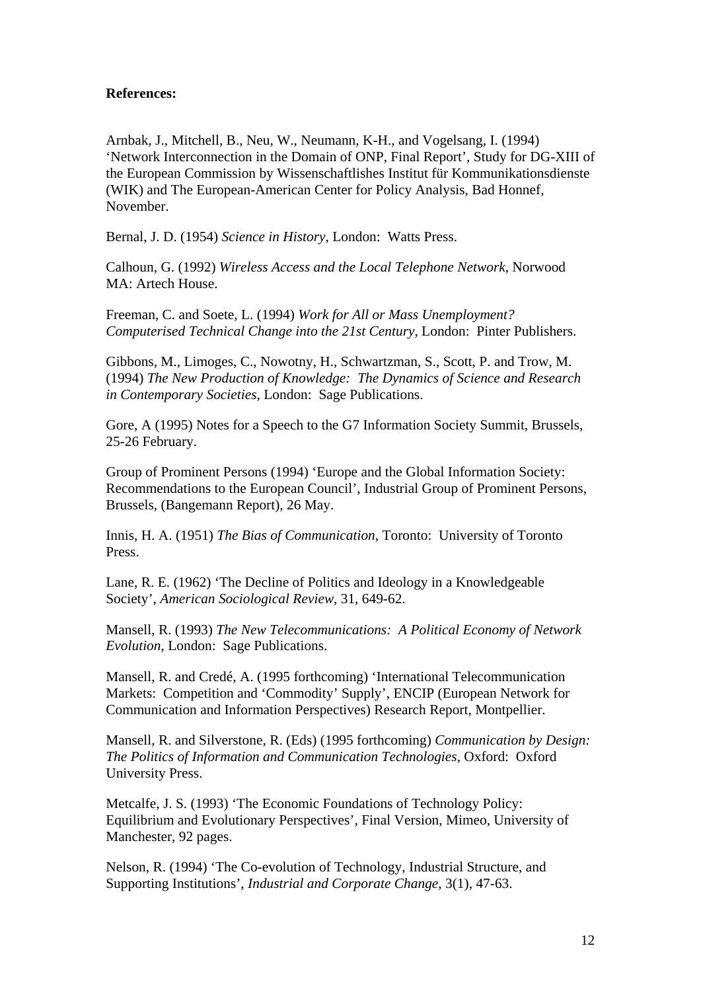#### **References:**

Arnbak, J., Mitchell, B., Neu, W., Neumann, K-H., and Vogelsang, I. (1994) 'Network Interconnection in the Domain of ONP, Final Report', Study for DG-XIII of the European Commission by Wissenschaftlishes Institut für Kommunikationsdienste (WIK) and The European-American Center for Policy Analysis, Bad Honnef, November.

Bernal, J. D. (1954) *Science in History*, London: Watts Press.

Calhoun, G. (1992) *Wireless Access and the Local Telephone Network*, Norwood MA: Artech House.

Freeman, C. and Soete, L. (1994) *Work for All or Mass Unemployment? Computerised Technical Change into the 21st Century*, London: Pinter Publishers.

Gibbons, M., Limoges, C., Nowotny, H., Schwartzman, S., Scott, P. and Trow, M. (1994) *The New Production of Knowledge: The Dynamics of Science and Research in Contemporary Societies*, London: Sage Publications.

Gore, A (1995) Notes for a Speech to the G7 Information Society Summit, Brussels, 25-26 February.

Group of Prominent Persons (1994) 'Europe and the Global Information Society: Recommendations to the European Council', Industrial Group of Prominent Persons, Brussels, (Bangemann Report), 26 May.

Innis, H. A. (1951) *The Bias of Communication*, Toronto: University of Toronto Press.

Lane, R. E. (1962) 'The Decline of Politics and Ideology in a Knowledgeable Society', *American Sociological Review*, 31, 649-62.

Mansell, R. (1993) *The New Telecommunications: A Political Economy of Network Evolution*, London: Sage Publications.

Mansell, R. and Credé, A. (1995 forthcoming) 'International Telecommunication Markets: Competition and 'Commodity' Supply', ENCIP (European Network for Communication and Information Perspectives) Research Report, Montpellier.

Mansell, R. and Silverstone, R. (Eds) (1995 forthcoming) *Communication by Design: The Politics of Information and Communication Technologies*, Oxford: Oxford University Press.

Metcalfe, J. S. (1993) 'The Economic Foundations of Technology Policy: Equilibrium and Evolutionary Perspectives', Final Version, Mimeo, University of Manchester, 92 pages.

Nelson, R. (1994) 'The Co-evolution of Technology, Industrial Structure, and Supporting Institutions', *Industrial and Corporate Change*, 3(1), 47-63.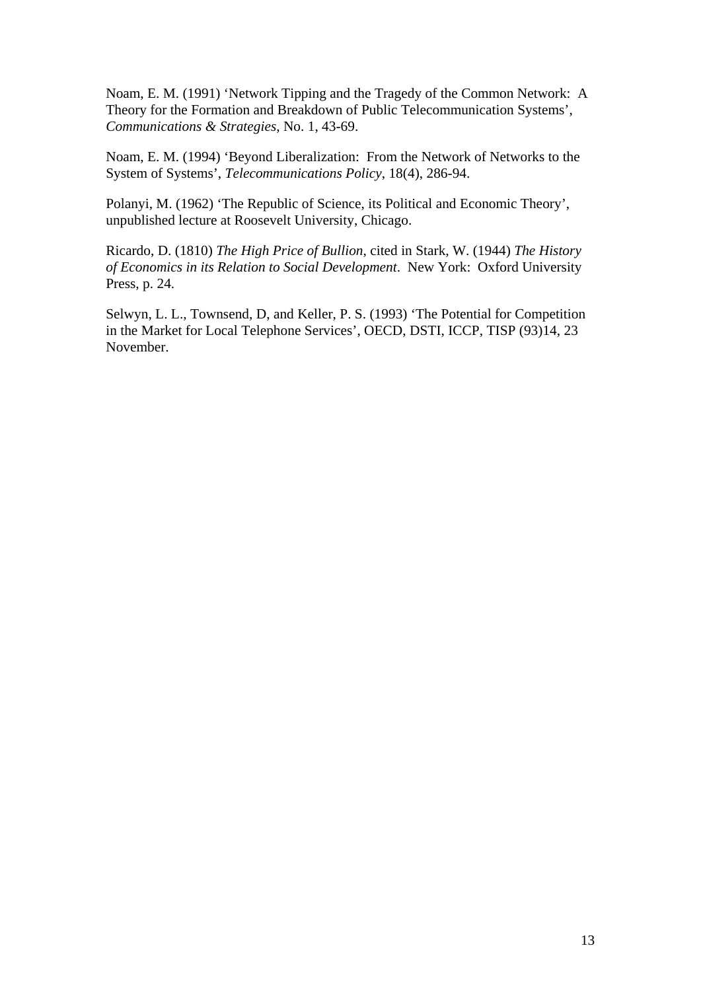Noam, E. M. (1991) 'Network Tipping and the Tragedy of the Common Network: A Theory for the Formation and Breakdown of Public Telecommunication Systems', *Communications & Strategies*, No. 1, 43-69.

Noam, E. M. (1994) 'Beyond Liberalization: From the Network of Networks to the System of Systems', *Telecommunications Policy*, 18(4), 286-94.

Polanyi, M. (1962) 'The Republic of Science, its Political and Economic Theory', unpublished lecture at Roosevelt University, Chicago.

Ricardo, D. (1810) *The High Price of Bullion*, cited in Stark, W. (1944) *The History of Economics in its Relation to Social Development*. New York: Oxford University Press, p. 24.

Selwyn, L. L., Townsend, D, and Keller, P. S. (1993) 'The Potential for Competition in the Market for Local Telephone Services', OECD, DSTI, ICCP, TISP (93)14, 23 November.